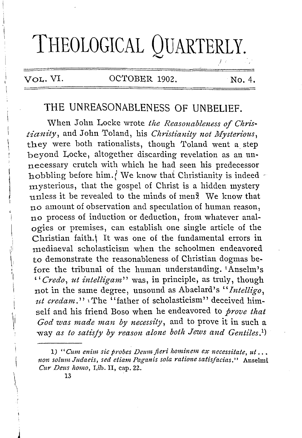# **THEOLOGICAL QUARTERLY.**

### **VoL.** VI. OCTOBER 1902. No. 4.

/ '

# THE UNREASONABLENESS OF UNBELIEF.

When John Locke wrote the Reasonableness of Chris*tianity,* and John Toland, his *C!tristianity not /Hysten'ous,*  they were both rationalists, though Toland went a step beyond Locke, altogether discarding revelation as an unnecessary crutch with which he had seen his predecessor hobbling before him./ We know that Christianity is indeed  $\sim$ mysterious, that the gospel of Christ is a hidden mystery unless it be revealed to the minds of men<sup> $\frac{3}{2}$ </sup> We know that no amount of observation and speculation of human reason, no process of induction or deduction, from whatever analogies or premises, can establish one single article of the Christian faith.<sup>{</sup> It was one of the fundamental errors in mediaeval scholasticism when the schoolmen endeavored to demonstrate the reasonableness of Christian dogmas before the tribunal of the human understanding. 1Anselm's *''Credo, ut intelligam"* was, in principle, as truly, though not in the same degree, unsound as Abaelard's "*Intelligo*, ut credam." *The* "father of scholasticism" deceived himself and his friend Boso when he endeavored to *prove that God was made man by necessity,* and to prove it in such a way as to satisfy by reason alone both Jews and Gentiles.<sup>1</sup>)

1) "Cum enim sic probes Deum fieri hominem ex necessitate, ut... *1zon sol um Judaeis, sed etiam Pagan is sola ratione satisfacias.''* Anselmi *Cur Deus homo, Lib. II, cap. 22.* 

13

 $\mathbf{I}$ 

 $\mathbf{1}$ 

1  $\setminus$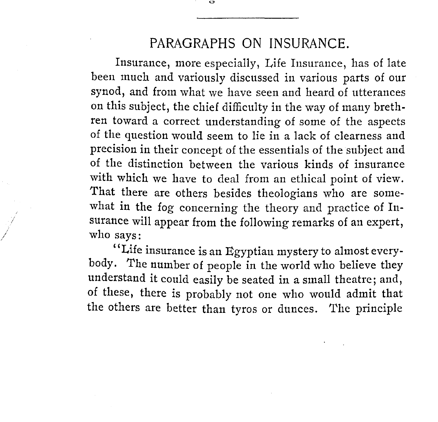# PARAGRAPHS ON INSURANCE.

Insurance, more especially, Life Insurance, has of late been much and variously discussed in various parts of our synod, and from what we have seen and heard of utterances on this subject, the chief difficulty in the way of many brethren toward a correct understanding of some of the aspects of the question would seem to lie in a lack of clearness and precision in their concept of the essentials of the subject and of the distinction between the various kinds of insurance with which we have to deal from an ethical point of view. That there are others besides theologians who are somewhat in the fog concerning the theory and practice of Insurance will appear from the following remarks of an expert, who says:

'' Life insurance is an Egyptian mystery to almost everybody. The number of people in the world who believe they understand it could easily be seated in a small theatre; and, of these, there is probably not one who would admit that the others are better than tyros or dunces. The principle

/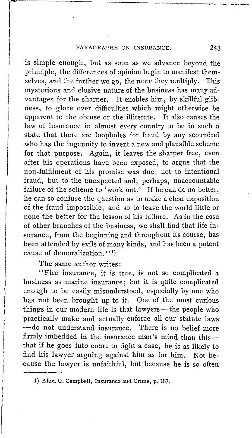------------------~-~------

is simple enough, but as soon as we advance beyond the principle, the differences of opinion begin to manifest themselves, and the further we go, the more they multiply. This mysterious and elusive nature of the business has many advantages for the sharper. It enables him, by skillful glibness, to gloze over difficulties which might otherwise be apparent to the obtuse or the illiterate. It also causes the law of insurance in almost every country to be in such a state that there are loopholes for fraud by any scoundrel who has the ingenuity to invent a new and plausible scheme for that purpose. Again, it leaves the sharper free, even after his operations have been exposed, to argue that the non-fulfilment of his promise was due, not to intentional fraud, but to the unexpected and, perhaps, unaccountable failure of the scheme to 'work out.' If he can do no better, he can so confuse the question as to make a clear exposition of the fraud impossible, and so to leave the world little or none the better for the lesson of his failure. As in the case of other branches of the business, we shall find that life in-· surance, from the beginning and throughout its course, has been attended by evils of many kinds, and has been a potent cause of demoralization."<sup>1</sup>)

The same author writes:

 $\mathbf{I}$ i, ļ.

 $\left\vert \right\vert$ 

 $\mathbf{I}$ 

"Fire insurance, it is true, is not so complicated a business as marine insurance; but it is quite complicated enough to be easily misunderstood, especially by one who has not been brought up to it. One of the most curious things in our modern life is that lawyers-the people who practically make and actually enforce all our statute laws - do not understand insurance. There is no belief more firmly imbedded in the insurance man's mind than thisthat if he goes into court to fight a case, he is as likely to find his lawyer arguing against him as for him. Not because the lawyer is unfaithful, but because he is so often

l} Alex. C. Campbell, Insurance and Crime, p. 187.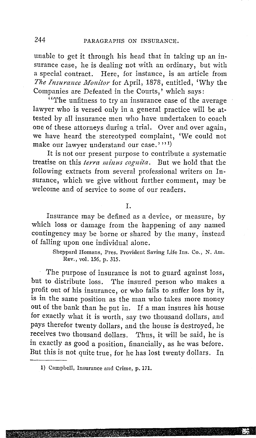unable to get it through his head that in taking up an insurance case, he is dealing not with an ordinary, but with a special contract. Here, for instance, is an article from *Tlte Insurance lvionitor* for April, 1878, entitled, 'Why the Companies are Defeated in the Courts,' which says:

''The unfitness to try an insurance case of the average lawyer who is versed only in a general practice will be attested by all insurance men who have undertaken to coach one of these attorneys during a trial. Over and over again, we have heard the stereotyped complaint, 'We could not make our lawyer understand our case.'''<sup>1)</sup>

It is not our present purpose to contribute a systematic treatise on this *terra minus cognita.* But we hold that the following extracts from several professional writers on Insurance, which we give without further comment, may be welcome and of service to some of our readers.

#### I.

Insurance may be defined as a device, or measure, by which loss or damage from the happening of any named contingency may be borne or shared by the many, instead of falling upon one individual alone.

> Sheppard Homans, Pres. Provident Saving Life Ins. Co., N. Am. Rev., vol. 156, p. 315.

The purpose of insurance is not to guard against loss, but to distribute loss. The insured person who makes a profit out of his insurance, or who fails to suffer loss by it, is in the same position as the man who takes more money out of the bank than he put in. If a man insures his house for exactly what it is worth, say two thousand dollars, and pays therefor twenty dollars, and the house is destroyed, he receives two thousand dollars. Thus, it will be said, he is in exactly as good a position, financially, as he was before. But this is not quite true, for he has lost twenty dollars. In

I) Campbell, Insurance and Crime, p. 171.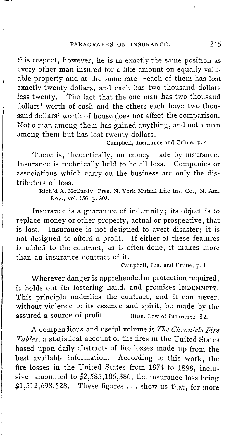this respect, however, he is in exactly the same position as every other man insured for a like amount on equally valuable property and at the same rate-each of them has lost exactly twenty dollars, and each has two thousand dollars less twenty. The fact that the one man has two thousand dollars' worth of cash and the others each have two thousand dollars' worth of house does not affect the comparison. Not a man among them has gained anything, and not a man among them but has lost twenty dollars.

Campbell, Insurance and Crime, p. 4.

There is, theoretically, no money made by insurance. Insurance is technically held to be all loss. Companies or associations which carry on the business are only the distributers of loss.

> Rich'd A. McCurdy, Pres. N. York Mutual Life Ins. Co., N. Am. Rev., vol. 156, p. 303.

Insurance is a guarantee of indemnity; its object is to replace money or other property, actual or prospective, that is lost. Insurance is not designed to avert disaster; it is not designed to afford a profit. If either of these features is added to the contract, as is often done, it makes more than an insurance contract of it.

Campbell, Ins. and Crime, p. 1.

Wherever danger is apprehended or protection required, it holds out its fostering hand, and promises INDEMNITY. This principle underlies the contract, and it can never, without violence to its essence and spirit, be made by the assured a source of profit. Bliss, Law of Insurance,  $22$ .

A compendious and useful volume is *The Chronicle Fire Tables,* a statistical account of the fires in the United States based upon daily abstracts of fire losses made up from the best available information. According to this work, the fire losses in the United States from 1874 to 1898, inclusive, amounted to \$2,585,186,386, the insurance loss being  $$1,512,698,528$ . These figures ... show us that, for more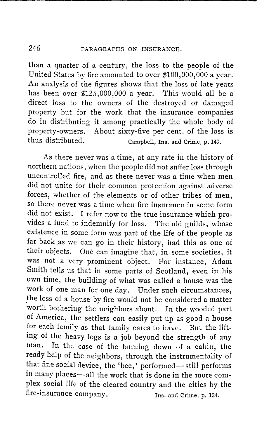## 246 PARAGRAPHS ON INSURANCE.

than a quarter of a century, the loss to the people of the United States by fire amounted to over \$100,000,000 a year. An analysis of the figures shows that the loss of late years has been over \$125,000,000 a year. This would all be a direct loss to the owners of the destroyed or damaged property but for the work that the insurance companies do in distributing it among practically the whole body of property-owners. About sixty-five per cent. of the loss is thus distributed. Campbell, Ins. and Crime, p.149.

As there never was a time, at any rate in the history of northern nations, when the people did not suffer loss through uncontrolled fire, and as there never was a time when men did not unite for their common protection against adverse forces, whether of the elements or of other tribes of men, so there never was a time when fire insurance in some form did not exist. I refer now to the true insurance which provides a fund to indemnify for loss. The old guilds, whose existence in some form was part of the life of the people as far back as we can go in their history, had this as one of their objects. One can imagine that, in some societies, it was not a very prominent object. For instance, Adam Smith tells us that in some parts of Scotland, even in his own time, the building of what was called a house was the work of one man for one day. Under such circumstances, the loss of a house by fire would not be considered a matter worth bothering the neighbors about. In the wooded part of America, the settlers can easily put up as good a house for each family as that family cares to have. But the lifting of the heavy logs is a job beyond the strength of any man. In the case of the burning down of a cabin, the ready help of the neighbors, through the instrumentality of that fine social device, the 'bee,' performed-still performs in many places-all the work that is done in the more complex social life of the cleared country and the cities by the fire-insurance company. Ins. and Crime, p. 124.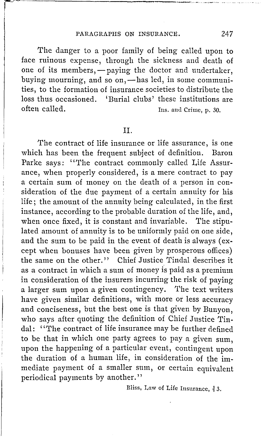~-------------------

The danger to a poor family of being called upon to face ruinous expense, through the sickness and death of one of its members, - paying the doctor and undertaker. buying mourning, and so on, —has led, in some communities, to the formation of insurance societies to distribute the loss thus occasioned. 'Burial clubs' these institutions are<br>often called<br>low line and Crime n 30 Ins. and Crime, p. 30.

II.

The contract of life insurance or life assurance, is one which has been the frequent subject of definition. Baron Parke says: ''The contract commonly called Life Assurance, when properly considered, is a mere contract to pay a certain sum of money on the death of a person in consideration of the due payment of a certain annuity for his life; the amount of the annuity being calculated, in the first instance, according to the probable duration of the life, and, when once fixed, it is constant and invariable. The stipulated amount of annuity is to be uniformly paid on one side, and the sum to be paid in the event of death is always (except when bonuses have been given by prosperous offices) the same on the other." Chief Justice Tindal describes it as a contract in which a sum of money is paid as a premium in consideration of the insurers incurring the risk of paying a larger sum upon a given contingency. The text writers have given similar definitions, with more or less accuracy and conciseness, but the best one is that given by Bunyon, who says after quoting the definition of Chief Justice Tindal: ''The contract of life insurance may be further defined to be that in which one party agrees to pay a given sum, upon the happening of a particular event, contingent upon the duration of a human life, in consideration of the immediate payment of a smaller sum, or certain equivalent periodical payments by another.''

Bliss, Law of Life Insurance,  $\frac{3}{6}$  3.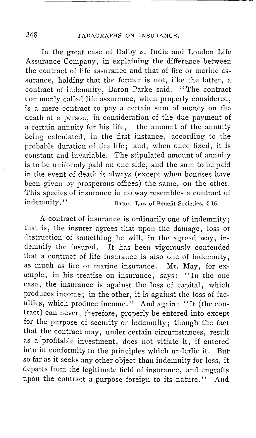In the great case of Dalby *v.* India and London Life Assurance Company, in explaining the difference between the contract of life assurance and that of fire or marine assurance, holding that the former is not, like the latter, a contract of indemnity, Baron Parke said: '' The contract commonly called life assurance, when properly considered, is a mere contract to pay a certain sum of money on the death of a person, in consideration of the due payment of a certain annuity for his life,  $-$  the amount of the annuity being calculated, in the first instance, according to the probable duration of the life; and, when once fixed, it is constant and invariable. The stipulated amount of annuity is to be uniformly paid on one side, and the sum to be paid in the event of death is always ( except when bonuses have been given by prosperous offices) the same, on the other. This species of insurance in no way resembles a contract of<br>indemnity."<br>Bacon, Law of Benefit Societies, 8.16. Bacon, Law of Benefit Societies,  $\frac{3}{6}$  16.

A contract of insurance is ordinarily one of indemnity; that is, the insurer agrees that upon the damage, loss or destruction of something he will, in the agreed way, indemnify the insured. It has been vigorously contended that a contract of life insurance is also one of indemnity, as much as fire or marine insurance. Mr. May, for example, in his treatise on insurance, says: "In the one ample, in his treatise on insurance, says: case, the insurance is against the loss of capital, which produces income; in the other, it is against the loss of faculties, which produce income." And again: "It (the contract) can never, therefore, properly be entered into except for the purpose of security or indemnity; though the fact that the contract may, under certain circumstances, result as a profitable investment, does not vitiate it, if entered into in conformity to the principles which underlie it. But, so far as it seeks any other object than indemnity for loss, it departs from the legitimate field of insurance, and engrafts upon the contract a purpose foreign to its nature." And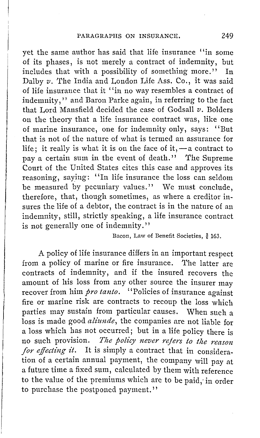yet the same author has said that life insurance ''in some of its phases, is not merely a contract of indemnity, but includes that with a possibility of something more." In Dalby *v*. The India and London Life Ass. Co., it was said of life insurance that it ''in no way resembles a contract of indemnity,'' and Baron Parke again, in referring to the fact that Lord Mansfield decided the case of Gods all *v.* Bolders on the theory that a life insurance contract was, like one of marine insurance, one for indemnity only, says: "But that is not of the nature of what is termed an assurance for life; it really is what it is on the face of it,  $-a$  contract to pay a certain sum in the event of death." The Supreme Court of the United States cites this case and approves its reasoning, saying: "In life insurance the loss can seldom be measured by pecuniary values." We must conclude, therefore, that, though sometimes, as where a creditor insures the life of a debtor, the contract is in the nature of an indemnity, still, strictly speaking, a life insurance contract is not generally one of indemnity.''

Bacon, Law of Benefit Societies, § 163.

A policy of life insurance differs in an important respect from a policy of marine or fire insurance. The latter are contracts of indemnity, and if the insured recovers the amount of his loss from any other source the insurer may recover from him *pro tanto*. "Policies of insurance against fire or marine risk are contracts to recoup the loss which parties may sustain from particular causes. When such a loss is made good *alz'unde,* the companies are not liable for a loss which has not occurred; but in a life policy there is no such provision. *The policy never refers to the reason for effecting it.* It is simply a contract that in consideration of a certain annual payment, the company will pay at a future time a fixed sum, calculated by them with reference to the value of the premiums which are to be paid,· in order to purchase the postponed payment.''